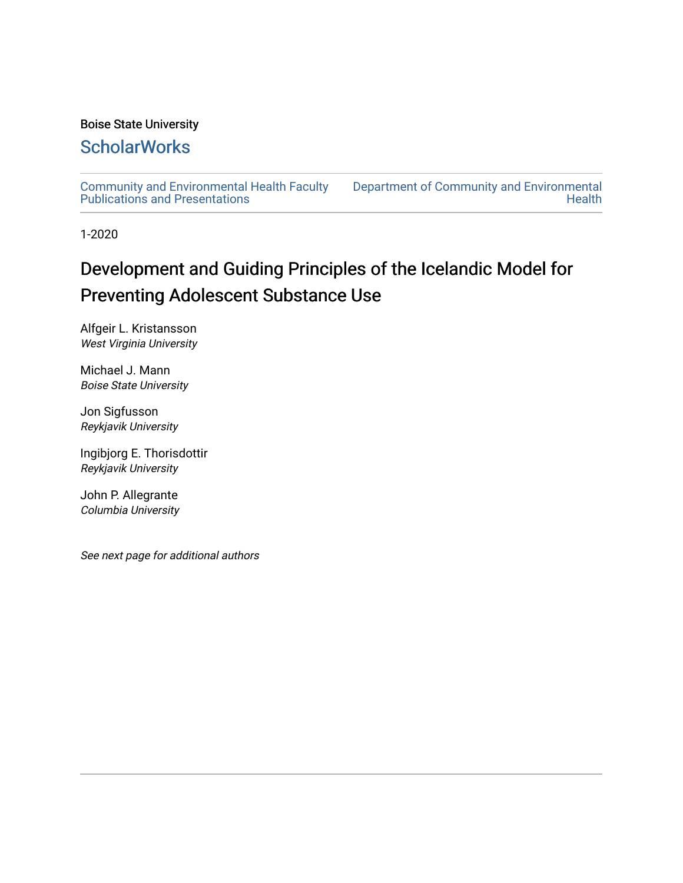## Boise State University

# **ScholarWorks**

[Community and Environmental Health Faculty](https://scholarworks.boisestate.edu/commhealth_facpubs)  [Publications and Presentations](https://scholarworks.boisestate.edu/commhealth_facpubs) 

[Department of Community and Environmental](https://scholarworks.boisestate.edu/commhealth)  **Health** 

1-2020

# Development and Guiding Principles of the Icelandic Model for Preventing Adolescent Substance Use

Alfgeir L. Kristansson West Virginia University

Michael J. Mann Boise State University

Jon Sigfusson Reykjavik University

Ingibjorg E. Thorisdottir Reykjavik University

John P. Allegrante Columbia University

See next page for additional authors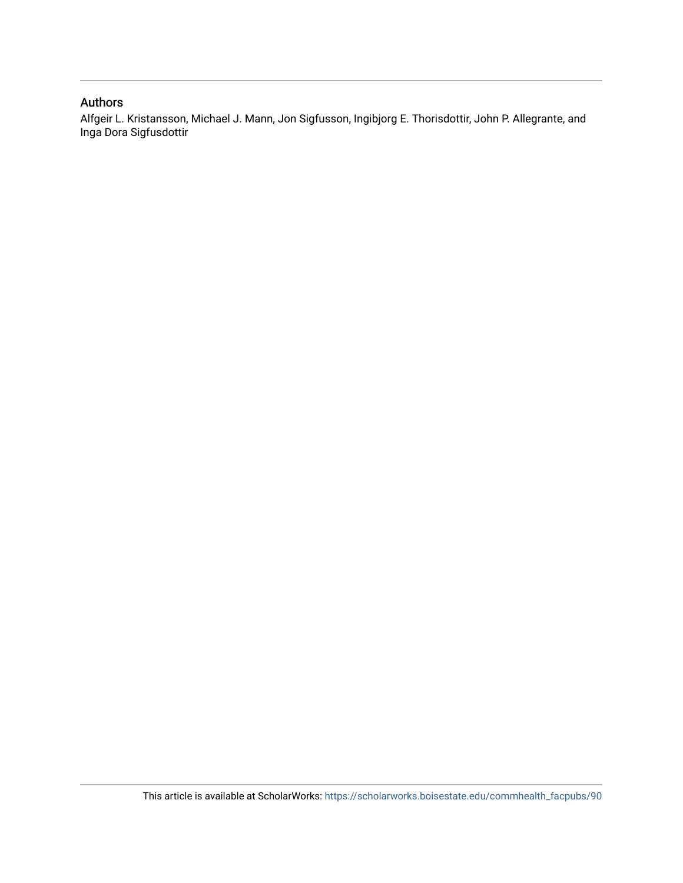# Authors

Alfgeir L. Kristansson, Michael J. Mann, Jon Sigfusson, Ingibjorg E. Thorisdottir, John P. Allegrante, and Inga Dora Sigfusdottir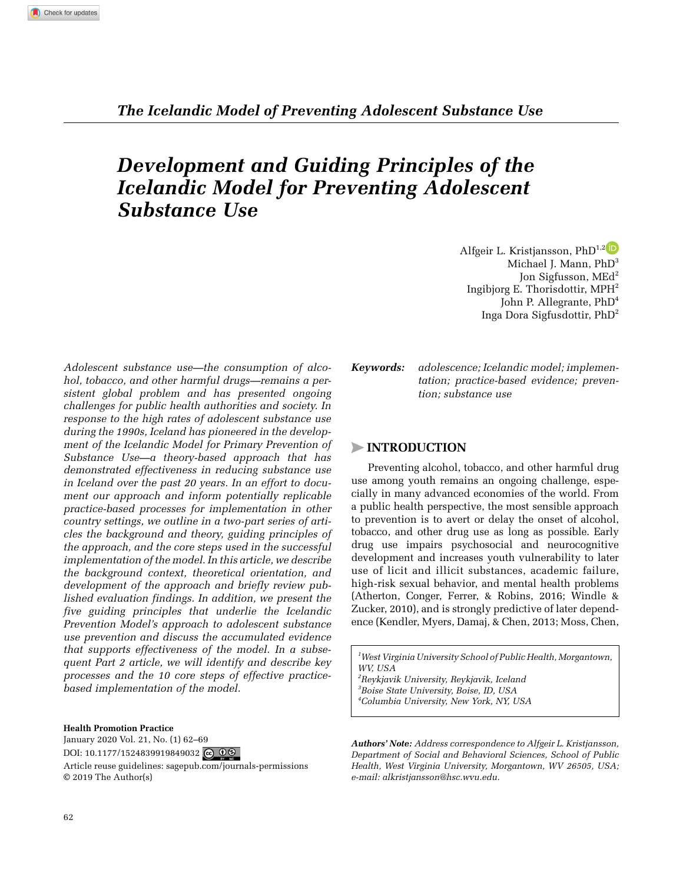# *Development and Guiding Principles of the Icelandic Model for Preventing Adolescent Substance Use*

Alfgeir L. Kristjansson, PhD<sup>1,2</sup><sup>D</sup> Michael J. Mann, PhD<sup>3</sup> Jon Sigfusson, MEd<sup>2</sup> Ingibjorg E. Thorisdottir,  $MPH<sup>2</sup>$ John P. Allegrante, PhD<sup>4</sup> Inga Dora Sigfusdottir,  $PhD<sup>2</sup>$ 

*Adolescent substance use—the consumption of alcohol, tobacco, and other harmful drugs—remains a persistent global problem and has presented ongoing challenges for public health authorities and society. In response to the high rates of adolescent substance use during the 1990s, Iceland has pioneered in the development of the Icelandic Model for Primary Prevention of Substance Use—a theory-based approach that has demonstrated effectiveness in reducing substance use in Iceland over the past 20 years. In an effort to document our approach and inform potentially replicable practice-based processes for implementation in other country settings, we outline in a two-part series of articles the background and theory, guiding principles of the approach, and the core steps used in the successful implementation of the model. In this article, we describe the background context, theoretical orientation, and development of the approach and briefly review published evaluation findings. In addition, we present the five guiding principles that underlie the Icelandic Prevention Model's approach to adolescent substance use prevention and discuss the accumulated evidence that supports effectiveness of the model. In a subsequent Part 2 article, we will identify and describe key processes and the 10 core steps of effective practicebased implementation of the model.*

**Health Promotion Practice** January 2020 Vol. 21, No. (1) 62–69 DOI: [10.1177/1524839919849032](https://doi.org/10.1177/1524839919849032) © 09 [Article reuse guidelines: sagepub.com/journals-permissions](https://us.sagepub.com/en-us/journals-permissions) © 2019 The Author(s)

*Keywords: adolescence; Icelandic model; implementation; practice-based evidence; prevention; substance use*

### >**Introduction**

Preventing alcohol, tobacco, and other harmful drug use among youth remains an ongoing challenge, especially in many advanced economies of the world. From a public health perspective, the most sensible approach to prevention is to avert or delay the onset of alcohol, tobacco, and other drug use as long as possible. Early drug use impairs psychosocial and neurocognitive development and increases youth vulnerability to later use of licit and illicit substances, academic failure, high-risk sexual behavior, and mental health problems (Atherton, Conger, Ferrer, & Robins, 2016; Windle & Zucker, 2010), and is strongly predictive of later dependence (Kendler, Myers, Damaj, & Chen, 2013; Moss, Chen,

 *West Virginia University School of Public Health, Morgantown, WV, USA Reykjavik University, Reykjavik, Iceland Boise State University, Boise, ID, USA Columbia University, New York, NY, USA*

*Authors' Note: Address correspondence to Alfgeir L. Kristjansson, Department of Social and Behavioral Sciences, School of Public Health, West Virginia University, Morgantown, WV 26505, USA; e-mail: [alkristjansson@hsc.wvu.edu.](mailto:alkristjansson@hsc.wvu.edu)*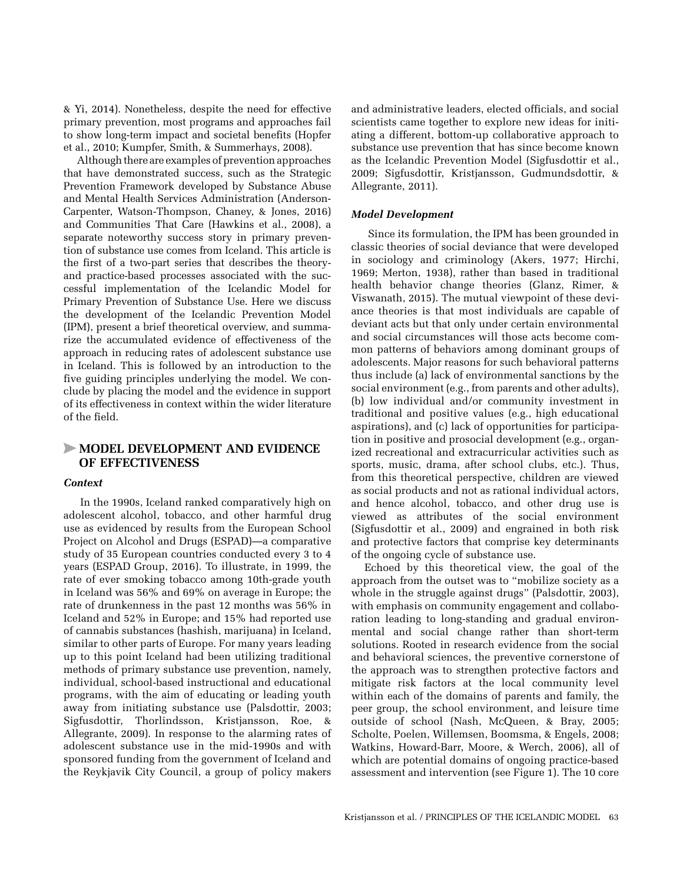& Yi, 2014). Nonetheless, despite the need for effective primary prevention, most programs and approaches fail to show long-term impact and societal benefits (Hopfer et al., 2010; Kumpfer, Smith, & Summerhays, 2008).

Although there are examples of prevention approaches that have demonstrated success, such as the Strategic Prevention Framework developed by Substance Abuse and Mental Health Services Administration (Anderson-Carpenter, Watson-Thompson, Chaney, & Jones, 2016) and Communities That Care (Hawkins et al., 2008), a separate noteworthy success story in primary prevention of substance use comes from Iceland. This article is the first of a two-part series that describes the theoryand practice-based processes associated with the successful implementation of the Icelandic Model for Primary Prevention of Substance Use. Here we discuss the development of the Icelandic Prevention Model (IPM), present a brief theoretical overview, and summarize the accumulated evidence of effectiveness of the approach in reducing rates of adolescent substance use in Iceland. This is followed by an introduction to the five guiding principles underlying the model. We conclude by placing the model and the evidence in support of its effectiveness in context within the wider literature of the field.

## >**Model Development and Evidence of Effectiveness**

#### *Context*

In the 1990s, Iceland ranked comparatively high on adolescent alcohol, tobacco, and other harmful drug use as evidenced by results from the European School Project on Alcohol and Drugs (ESPAD)—a comparative study of 35 European countries conducted every 3 to 4 years (ESPAD Group, 2016). To illustrate, in 1999, the rate of ever smoking tobacco among 10th-grade youth in Iceland was 56% and 69% on average in Europe; the rate of drunkenness in the past 12 months was 56% in Iceland and 52% in Europe; and 15% had reported use of cannabis substances (hashish, marijuana) in Iceland, similar to other parts of Europe. For many years leading up to this point Iceland had been utilizing traditional methods of primary substance use prevention, namely, individual, school-based instructional and educational programs, with the aim of educating or leading youth away from initiating substance use (Palsdottir, 2003; Sigfusdottir, Thorlindsson, Kristjansson, Roe, & Allegrante, 2009). In response to the alarming rates of adolescent substance use in the mid-1990s and with sponsored funding from the government of Iceland and the Reykjavik City Council, a group of policy makers and administrative leaders, elected officials, and social scientists came together to explore new ideas for initiating a different, bottom-up collaborative approach to substance use prevention that has since become known as the Icelandic Prevention Model (Sigfusdottir et al., 2009; Sigfusdottir, Kristjansson, Gudmundsdottir, & Allegrante, 2011).

#### *Model Development*

Since its formulation, the IPM has been grounded in classic theories of social deviance that were developed in sociology and criminology (Akers, 1977; Hirchi, 1969; Merton, 1938), rather than based in traditional health behavior change theories (Glanz, Rimer, & Viswanath, 2015). The mutual viewpoint of these deviance theories is that most individuals are capable of deviant acts but that only under certain environmental and social circumstances will those acts become common patterns of behaviors among dominant groups of adolescents. Major reasons for such behavioral patterns thus include (a) lack of environmental sanctions by the social environment (e.g., from parents and other adults), (b) low individual and/or community investment in traditional and positive values (e.g., high educational aspirations), and (c) lack of opportunities for participation in positive and prosocial development (e.g., organized recreational and extracurricular activities such as sports, music, drama, after school clubs, etc.). Thus, from this theoretical perspective, children are viewed as social products and not as rational individual actors, and hence alcohol, tobacco, and other drug use is viewed as attributes of the social environment (Sigfusdottir et al., 2009) and engrained in both risk and protective factors that comprise key determinants of the ongoing cycle of substance use.

Echoed by this theoretical view, the goal of the approach from the outset was to "mobilize society as a whole in the struggle against drugs" (Palsdottir, 2003), with emphasis on community engagement and collaboration leading to long-standing and gradual environmental and social change rather than short-term solutions. Rooted in research evidence from the social and behavioral sciences, the preventive cornerstone of the approach was to strengthen protective factors and mitigate risk factors at the local community level within each of the domains of parents and family, the peer group, the school environment, and leisure time outside of school (Nash, McQueen, & Bray, 2005; Scholte, Poelen, Willemsen, Boomsma, & Engels, 2008; Watkins, Howard-Barr, Moore, & Werch, 2006), all of which are potential domains of ongoing practice-based assessment and intervention (see Figure 1). The 10 core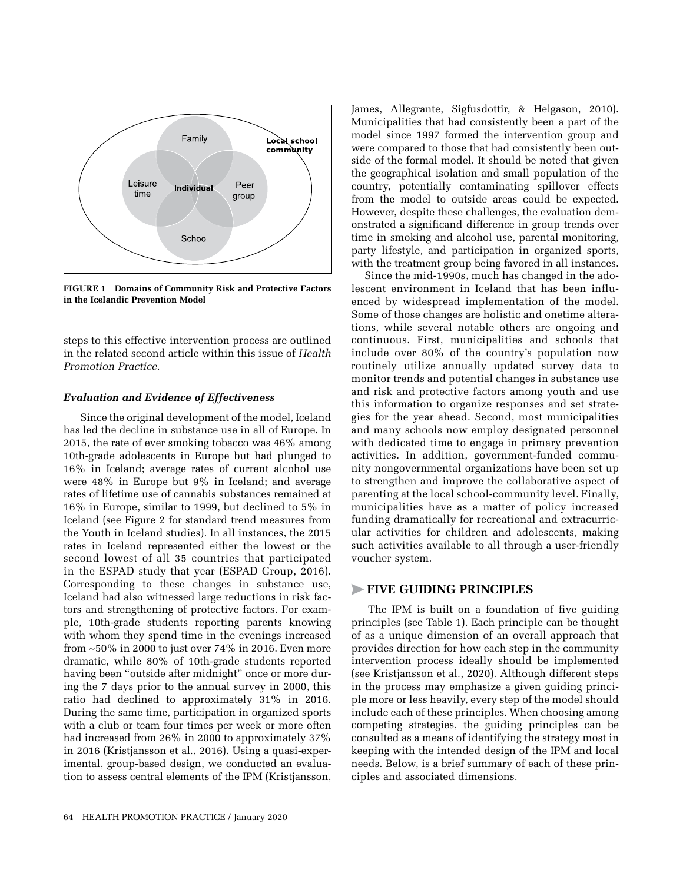

**Figure 1 Domains of Community Risk and Protective Factors in the Icelandic Prevention Model**

steps to this effective intervention process are outlined in the related second article within this issue of *Health Promotion Practice*.

#### *Evaluation and Evidence of Effectiveness*

Since the original development of the model, Iceland has led the decline in substance use in all of Europe. In 2015, the rate of ever smoking tobacco was 46% among 10th-grade adolescents in Europe but had plunged to 16% in Iceland; average rates of current alcohol use were 48% in Europe but 9% in Iceland; and average rates of lifetime use of cannabis substances remained at 16% in Europe, similar to 1999, but declined to 5% in Iceland (see Figure 2 for standard trend measures from the Youth in Iceland studies). In all instances, the 2015 rates in Iceland represented either the lowest or the second lowest of all 35 countries that participated in the ESPAD study that year (ESPAD Group, 2016). Corresponding to these changes in substance use, Iceland had also witnessed large reductions in risk factors and strengthening of protective factors. For example, 10th-grade students reporting parents knowing with whom they spend time in the evenings increased from ~50% in 2000 to just over 74% in 2016. Even more dramatic, while 80% of 10th-grade students reported having been "outside after midnight" once or more during the 7 days prior to the annual survey in 2000, this ratio had declined to approximately 31% in 2016. During the same time, participation in organized sports with a club or team four times per week or more often had increased from 26% in 2000 to approximately 37% in 2016 (Kristjansson et al., 2016). Using a quasi-experimental, group-based design, we conducted an evaluation to assess central elements of the IPM (Kristjansson, James, Allegrante, Sigfusdottir, & Helgason, 2010). Municipalities that had consistently been a part of the model since 1997 formed the intervention group and were compared to those that had consistently been outside of the formal model. It should be noted that given the geographical isolation and small population of the country, potentially contaminating spillover effects from the model to outside areas could be expected. However, despite these challenges, the evaluation demonstrated a significand difference in group trends over time in smoking and alcohol use, parental monitoring, party lifestyle, and participation in organized sports, with the treatment group being favored in all instances.

Since the mid-1990s, much has changed in the adolescent environment in Iceland that has been influenced by widespread implementation of the model. Some of those changes are holistic and onetime alterations, while several notable others are ongoing and continuous. First, municipalities and schools that include over 80% of the country's population now routinely utilize annually updated survey data to monitor trends and potential changes in substance use and risk and protective factors among youth and use this information to organize responses and set strategies for the year ahead. Second, most municipalities and many schools now employ designated personnel with dedicated time to engage in primary prevention activities. In addition, government-funded community nongovernmental organizations have been set up to strengthen and improve the collaborative aspect of parenting at the local school-community level. Finally, municipalities have as a matter of policy increased funding dramatically for recreational and extracurricular activities for children and adolescents, making such activities available to all through a user-friendly voucher system.

### >**Five Guiding Principles**

The IPM is built on a foundation of five guiding principles (see Table 1). Each principle can be thought of as a unique dimension of an overall approach that provides direction for how each step in the community intervention process ideally should be implemented (see Kristjansson et al., 2020). Although different steps in the process may emphasize a given guiding principle more or less heavily, every step of the model should include each of these principles. When choosing among competing strategies, the guiding principles can be consulted as a means of identifying the strategy most in keeping with the intended design of the IPM and local needs. Below, is a brief summary of each of these principles and associated dimensions.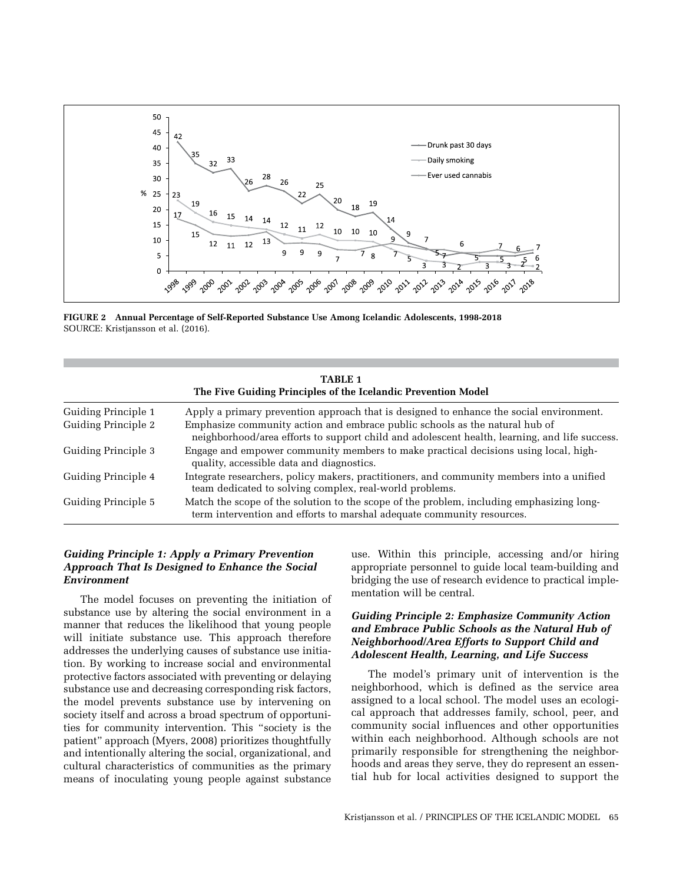

**Figure 2 Annual Percentage of Self-Reported Substance Use Among Icelandic Adolescents, 1998-2018** SOURCE: Kristjansson et al. (2016).

| <b>TABLE 1</b><br>The Five Guiding Principles of the Icelandic Prevention Model |                                                                                                                                                                              |
|---------------------------------------------------------------------------------|------------------------------------------------------------------------------------------------------------------------------------------------------------------------------|
| Guiding Principle 1                                                             | Apply a primary prevention approach that is designed to enhance the social environment.                                                                                      |
| Guiding Principle 2                                                             | Emphasize community action and embrace public schools as the natural hub of<br>neighborhood/area efforts to support child and adolescent health, learning, and life success. |
| Guiding Principle 3                                                             | Engage and empower community members to make practical decisions using local, high-<br>quality, accessible data and diagnostics.                                             |
| Guiding Principle 4                                                             | Integrate researchers, policy makers, practitioners, and community members into a unified<br>team dedicated to solving complex, real-world problems.                         |
| Guiding Principle 5                                                             | Match the scope of the solution to the scope of the problem, including emphasizing long-<br>term intervention and efforts to marshal adequate community resources.           |

### *Guiding Principle 1: Apply a Primary Prevention Approach That Is Designed to Enhance the Social Environment*

The model focuses on preventing the initiation of substance use by altering the social environment in a manner that reduces the likelihood that young people will initiate substance use. This approach therefore addresses the underlying causes of substance use initiation. By working to increase social and environmental protective factors associated with preventing or delaying substance use and decreasing corresponding risk factors, the model prevents substance use by intervening on society itself and across a broad spectrum of opportunities for community intervention. This "society is the patient" approach (Myers, 2008) prioritizes thoughtfully and intentionally altering the social, organizational, and cultural characteristics of communities as the primary means of inoculating young people against substance use. Within this principle, accessing and/or hiring appropriate personnel to guide local team-building and bridging the use of research evidence to practical implementation will be central.

### *Guiding Principle 2: Emphasize Community Action and Embrace Public Schools as the Natural Hub of Neighborhood/Area Efforts to Support Child and Adolescent Health, Learning, and Life Success*

The model's primary unit of intervention is the neighborhood, which is defined as the service area assigned to a local school. The model uses an ecological approach that addresses family, school, peer, and community social influences and other opportunities within each neighborhood. Although schools are not primarily responsible for strengthening the neighborhoods and areas they serve, they do represent an essential hub for local activities designed to support the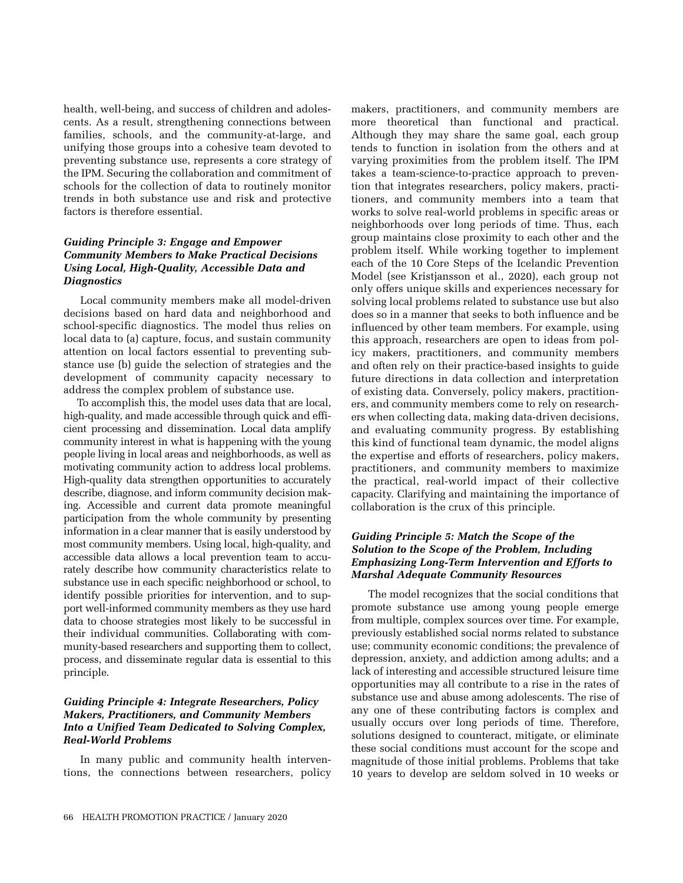health, well-being, and success of children and adolescents. As a result, strengthening connections between families, schools, and the community-at-large, and unifying those groups into a cohesive team devoted to preventing substance use, represents a core strategy of the IPM. Securing the collaboration and commitment of schools for the collection of data to routinely monitor trends in both substance use and risk and protective factors is therefore essential.

### *Guiding Principle 3: Engage and Empower Community Members to Make Practical Decisions Using Local, High-Quality, Accessible Data and Diagnostics*

Local community members make all model-driven decisions based on hard data and neighborhood and school-specific diagnostics. The model thus relies on local data to (a) capture, focus, and sustain community attention on local factors essential to preventing substance use (b) guide the selection of strategies and the development of community capacity necessary to address the complex problem of substance use.

To accomplish this, the model uses data that are local, high-quality, and made accessible through quick and efficient processing and dissemination. Local data amplify community interest in what is happening with the young people living in local areas and neighborhoods, as well as motivating community action to address local problems. High-quality data strengthen opportunities to accurately describe, diagnose, and inform community decision making. Accessible and current data promote meaningful participation from the whole community by presenting information in a clear manner that is easily understood by most community members. Using local, high-quality, and accessible data allows a local prevention team to accurately describe how community characteristics relate to substance use in each specific neighborhood or school, to identify possible priorities for intervention, and to support well-informed community members as they use hard data to choose strategies most likely to be successful in their individual communities. Collaborating with community-based researchers and supporting them to collect, process, and disseminate regular data is essential to this principle.

#### *Guiding Principle 4: Integrate Researchers, Policy Makers, Practitioners, and Community Members Into a Unified Team Dedicated to Solving Complex, Real-World Problems*

In many public and community health interventions, the connections between researchers, policy makers, practitioners, and community members are more theoretical than functional and practical. Although they may share the same goal, each group tends to function in isolation from the others and at varying proximities from the problem itself. The IPM takes a team-science-to-practice approach to prevention that integrates researchers, policy makers, practitioners, and community members into a team that works to solve real-world problems in specific areas or neighborhoods over long periods of time. Thus, each group maintains close proximity to each other and the problem itself. While working together to implement each of the 10 Core Steps of the Icelandic Prevention Model (see Kristjansson et al., 2020), each group not only offers unique skills and experiences necessary for solving local problems related to substance use but also does so in a manner that seeks to both influence and be influenced by other team members. For example, using this approach, researchers are open to ideas from policy makers, practitioners, and community members and often rely on their practice-based insights to guide future directions in data collection and interpretation of existing data. Conversely, policy makers, practitioners, and community members come to rely on researchers when collecting data, making data-driven decisions, and evaluating community progress. By establishing this kind of functional team dynamic, the model aligns the expertise and efforts of researchers, policy makers, practitioners, and community members to maximize the practical, real-world impact of their collective capacity. Clarifying and maintaining the importance of collaboration is the crux of this principle.

### *Guiding Principle 5: Match the Scope of the Solution to the Scope of the Problem, Including Emphasizing Long-Term Intervention and Efforts to Marshal Adequate Community Resources*

The model recognizes that the social conditions that promote substance use among young people emerge from multiple, complex sources over time. For example, previously established social norms related to substance use; community economic conditions; the prevalence of depression, anxiety, and addiction among adults; and a lack of interesting and accessible structured leisure time opportunities may all contribute to a rise in the rates of substance use and abuse among adolescents. The rise of any one of these contributing factors is complex and usually occurs over long periods of time. Therefore, solutions designed to counteract, mitigate, or eliminate these social conditions must account for the scope and magnitude of those initial problems. Problems that take 10 years to develop are seldom solved in 10 weeks or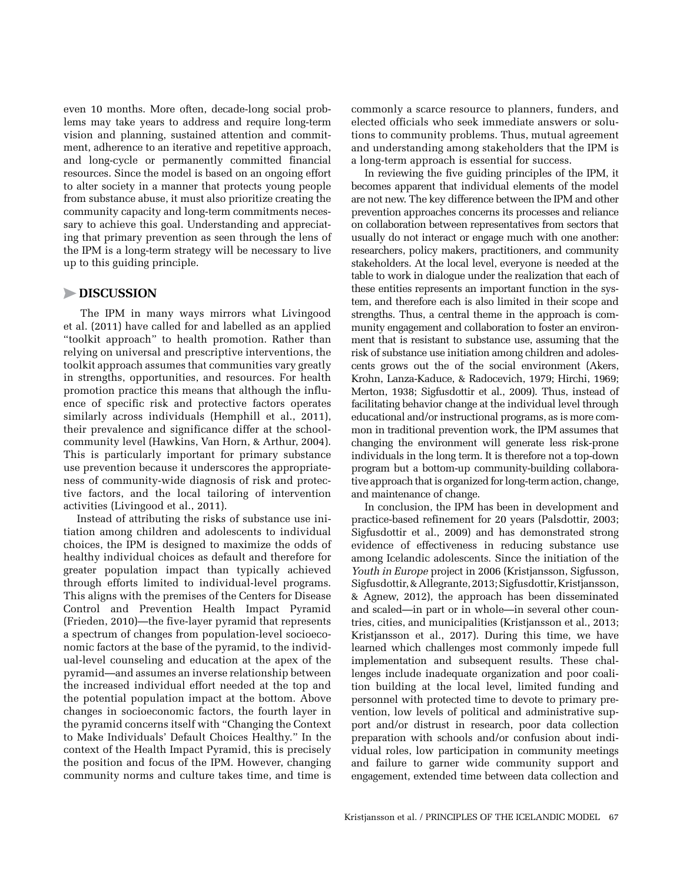even 10 months. More often, decade-long social problems may take years to address and require long-term vision and planning, sustained attention and commitment, adherence to an iterative and repetitive approach, and long-cycle or permanently committed financial resources. Since the model is based on an ongoing effort to alter society in a manner that protects young people from substance abuse, it must also prioritize creating the community capacity and long-term commitments necessary to achieve this goal. Understanding and appreciating that primary prevention as seen through the lens of the IPM is a long-term strategy will be necessary to live up to this guiding principle.

#### >**Discussion**

The IPM in many ways mirrors what Livingood et al. (2011) have called for and labelled as an applied "toolkit approach" to health promotion. Rather than relying on universal and prescriptive interventions, the toolkit approach assumes that communities vary greatly in strengths, opportunities, and resources. For health promotion practice this means that although the influence of specific risk and protective factors operates similarly across individuals (Hemphill et al., 2011), their prevalence and significance differ at the schoolcommunity level (Hawkins, Van Horn, & Arthur, 2004). This is particularly important for primary substance use prevention because it underscores the appropriateness of community-wide diagnosis of risk and protective factors, and the local tailoring of intervention activities (Livingood et al., 2011).

Instead of attributing the risks of substance use initiation among children and adolescents to individual choices, the IPM is designed to maximize the odds of healthy individual choices as default and therefore for greater population impact than typically achieved through efforts limited to individual-level programs. This aligns with the premises of the Centers for Disease Control and Prevention Health Impact Pyramid (Frieden, 2010)—the five-layer pyramid that represents a spectrum of changes from population-level socioeconomic factors at the base of the pyramid, to the individual-level counseling and education at the apex of the pyramid—and assumes an inverse relationship between the increased individual effort needed at the top and the potential population impact at the bottom. Above changes in socioeconomic factors, the fourth layer in the pyramid concerns itself with "Changing the Context to Make Individuals' Default Choices Healthy." In the context of the Health Impact Pyramid, this is precisely the position and focus of the IPM. However, changing community norms and culture takes time, and time is

commonly a scarce resource to planners, funders, and elected officials who seek immediate answers or solutions to community problems. Thus, mutual agreement and understanding among stakeholders that the IPM is a long-term approach is essential for success.

In reviewing the five guiding principles of the IPM, it becomes apparent that individual elements of the model are not new. The key difference between the IPM and other prevention approaches concerns its processes and reliance on collaboration between representatives from sectors that usually do not interact or engage much with one another: researchers, policy makers, practitioners, and community stakeholders. At the local level, everyone is needed at the table to work in dialogue under the realization that each of these entities represents an important function in the system, and therefore each is also limited in their scope and strengths. Thus, a central theme in the approach is community engagement and collaboration to foster an environment that is resistant to substance use, assuming that the risk of substance use initiation among children and adolescents grows out the of the social environment (Akers, Krohn, Lanza-Kaduce, & Radocevich, 1979; Hirchi, 1969; Merton, 1938; Sigfusdottir et al., 2009). Thus, instead of facilitating behavior change at the individual level through educational and/or instructional programs, as is more common in traditional prevention work, the IPM assumes that changing the environment will generate less risk-prone individuals in the long term. It is therefore not a top-down program but a bottom-up community-building collaborative approach that is organized for long-term action, change, and maintenance of change.

In conclusion, the IPM has been in development and practice-based refinement for 20 years (Palsdottir, 2003; Sigfusdottir et al., 2009) and has demonstrated strong evidence of effectiveness in reducing substance use among Icelandic adolescents. Since the initiation of the *Youth in Europe* project in 2006 (Kristjansson, Sigfusson, Sigfusdottir, & Allegrante, 2013; Sigfusdottir, Kristjansson, & Agnew, 2012), the approach has been disseminated and scaled—in part or in whole—in several other countries, cities, and municipalities (Kristjansson et al., 2013; Kristjansson et al., 2017). During this time, we have learned which challenges most commonly impede full implementation and subsequent results. These challenges include inadequate organization and poor coalition building at the local level, limited funding and personnel with protected time to devote to primary prevention, low levels of political and administrative support and/or distrust in research, poor data collection preparation with schools and/or confusion about individual roles, low participation in community meetings and failure to garner wide community support and engagement, extended time between data collection and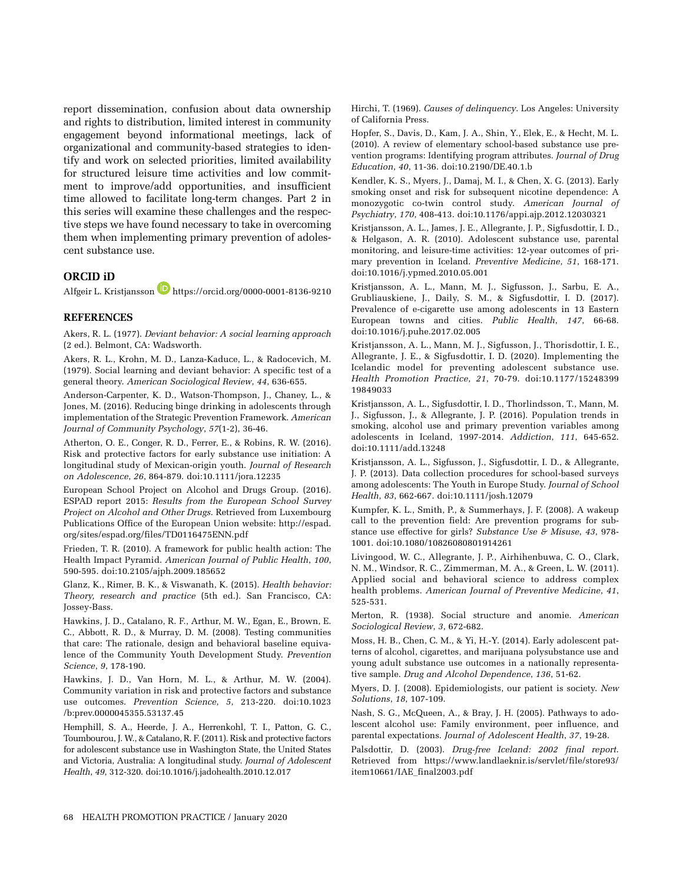report dissemination, confusion about data ownership and rights to distribution, limited interest in community engagement beyond informational meetings, lack of organizational and community-based strategies to identify and work on selected priorities, limited availability for structured leisure time activities and low commitment to improve/add opportunities, and insufficient time allowed to facilitate long-term changes. Part 2 in this series will examine these challenges and the respective steps we have found necessary to take in overcoming them when implementing primary prevention of adolescent substance use.

#### **ORCID iD**

Alfgeir L. Kristjansson **D** <https://orcid.org/0000-0001-8136-9210>

#### **References**

Akers, R. L. (1977). *Deviant behavior: A social learning approach* (2 ed.). Belmont, CA: Wadsworth.

Akers, R. L., Krohn, M. D., Lanza-Kaduce, L., & Radocevich, M. (1979). Social learning and deviant behavior: A specific test of a general theory. *American Sociological Review*, *44*, 636-655.

Anderson-Carpenter, K. D., Watson-Thompson, J., Chaney, L., & Jones, M. (2016). Reducing binge drinking in adolescents through implementation of the Strategic Prevention Framework. *American Journal of Community Psychology*, *57*(1-2), 36-46.

Atherton, O. E., Conger, R. D., Ferrer, E., & Robins, R. W. (2016). Risk and protective factors for early substance use initiation: A longitudinal study of Mexican-origin youth. *Journal of Research on Adolescence*, *26*, 864-879. doi:10.1111/jora.12235

European School Project on Alcohol and Drugs Group. (2016). ESPAD report 2015: *Results from the European School Survey Project on Alcohol and Other Drugs*. Retrieved from Luxembourg Publications Office of the European Union website: [http://espad.](http://espad.org/sites/espad.org/files/TD0116475ENN.pdf) [org/sites/espad.org/files/TD0116475ENN.pdf](http://espad.org/sites/espad.org/files/TD0116475ENN.pdf)

Frieden, T. R. (2010). A framework for public health action: The Health Impact Pyramid. *American Journal of Public Health*, *100*, 590-595. doi:10.2105/ajph.2009.185652

Glanz, K., Rimer, B. K., & Viswanath, K. (2015). *Health behavior: Theory, research and practice* (5th ed.). San Francisco, CA: Jossey-Bass.

Hawkins, J. D., Catalano, R. F., Arthur, M. W., Egan, E., Brown, E. C., Abbott, R. D., & Murray, D. M. (2008). Testing communities that care: The rationale, design and behavioral baseline equivalence of the Community Youth Development Study. *Prevention Science*, *9*, 178-190.

Hawkins, J. D., Van Horn, M. L., & Arthur, M. W. (2004). Community variation in risk and protective factors and substance use outcomes. *Prevention Science*, *5*, 213-220. doi:10.1023 /b:prev.0000045355.53137.45

Hemphill, S. A., Heerde, J. A., Herrenkohl, T. I., Patton, G. C., Toumbourou, J. W., & Catalano, R. F. (2011). Risk and protective factors for adolescent substance use in Washington State, the United States and Victoria, Australia: A longitudinal study. *Journal of Adolescent Health*, *49*, 312-320. doi:10.1016/j.jadohealth.2010.12.017

Hirchi, T. (1969). *Causes of delinquency*. Los Angeles: University of California Press.

Hopfer, S., Davis, D., Kam, J. A., Shin, Y., Elek, E., & Hecht, M. L. (2010). A review of elementary school-based substance use prevention programs: Identifying program attributes. *Journal of Drug Education*, *40*, 11-36. doi:10.2190/DE.40.1.b

Kendler, K. S., Myers, J., Damaj, M. I., & Chen, X. G. (2013). Early smoking onset and risk for subsequent nicotine dependence: A monozygotic co-twin control study. *American Journal of Psychiatry*, *170*, 408-413. doi:10.1176/appi.ajp.2012.12030321

Kristjansson, A. L., James, J. E., Allegrante, J. P., Sigfusdottir, I. D., & Helgason, A. R. (2010). Adolescent substance use, parental monitoring, and leisure-time activities: 12-year outcomes of primary prevention in Iceland. *Preventive Medicine*, *51*, 168-171. doi:10.1016/j.ypmed.2010.05.001

Kristjansson, A. L., Mann, M. J., Sigfusson, J., Sarbu, E. A., Grubliauskiene, J., Daily, S. M., & Sigfusdottir, I. D. (2017). Prevalence of e-cigarette use among adolescents in 13 Eastern European towns and cities. *Public Health*, *147*, 66-68. doi:10.1016/j.puhe.2017.02.005

Kristjansson, A. L., Mann, M. J., Sigfusson, J., Thorisdottir, I. E., Allegrante, J. E., & Sigfusdottir, I. D. (2020). Implementing the Icelandic model for preventing adolescent substance use. *Health Promotion Practice*, *21*, 70-79. doi:10.1177/15248399 19849033

Kristjansson, A. L., Sigfusdottir, I. D., Thorlindsson, T., Mann, M. J., Sigfusson, J., & Allegrante, J. P. (2016). Population trends in smoking, alcohol use and primary prevention variables among adolescents in Iceland, 1997-2014. *Addiction*, *111*, 645-652. doi:10.1111/add.13248

Kristjansson, A. L., Sigfusson, J., Sigfusdottir, I. D., & Allegrante, J. P. (2013). Data collection procedures for school-based surveys among adolescents: The Youth in Europe Study. *Journal of School Health*, *83*, 662-667. doi:10.1111/josh.12079

Kumpfer, K. L., Smith, P., & Summerhays, J. F. (2008). A wakeup call to the prevention field: Are prevention programs for substance use effective for girls? *Substance Use & Misuse*, *43*, 978- 1001. doi:10.1080/10826080801914261

Livingood, W. C., Allegrante, J. P., Airhihenbuwa, C. O., Clark, N. M., Windsor, R. C., Zimmerman, M. A., & Green, L. W. (2011). Applied social and behavioral science to address complex health problems. *American Journal of Preventive Medicine*, *41*, 525-531.

Merton, R. (1938). Social structure and anomie. *American Sociological Review*, *3*, 672-682.

Moss, H. B., Chen, C. M., & Yi, H.-Y. (2014). Early adolescent patterns of alcohol, cigarettes, and marijuana polysubstance use and young adult substance use outcomes in a nationally representative sample. *Drug and Alcohol Dependence*, *136*, 51-62.

Myers, D. J. (2008). Epidemiologists, our patient is society. *New Solutions*, *18*, 107-109.

Nash, S. G., McQueen, A., & Bray, J. H. (2005). Pathways to adolescent alcohol use: Family environment, peer influence, and parental expectations. *Journal of Adolescent Health*, *37*, 19-28.

Palsdottir, D. (2003). *Drug-free Iceland: 2002 final report*. Retrieved from [https://www.landlaeknir.is/servlet/file/store93/](https://www.landlaeknir.is/servlet/file/store93/item10661/IAE_final2003.pdf) [item10661/IAE\\_final2003.pdf](https://www.landlaeknir.is/servlet/file/store93/item10661/IAE_final2003.pdf)